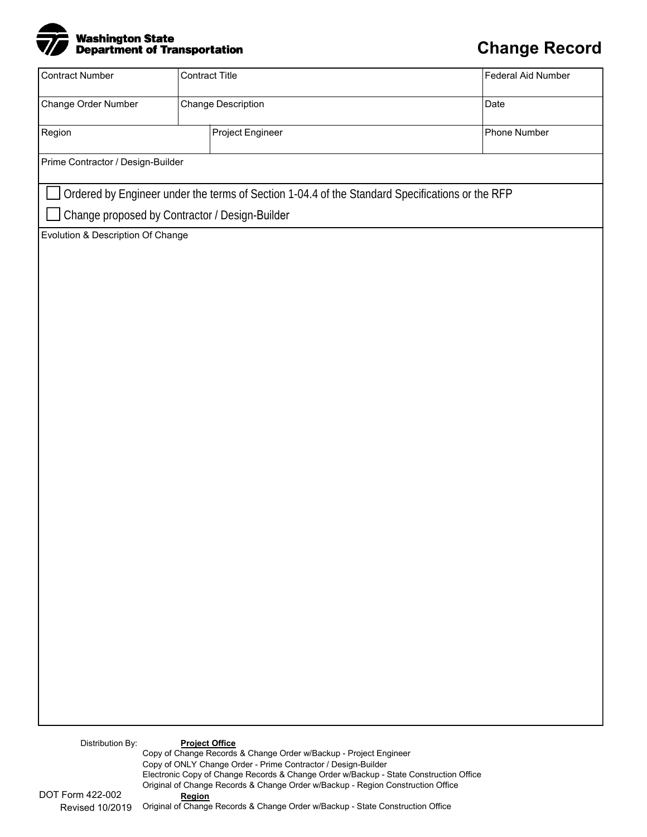

## **Change Record**

| <b>Contract Number</b>                         |                       | <b>Contract Title</b>                                                                                                                                                                                                       |  | Federal Aid Number |  |
|------------------------------------------------|-----------------------|-----------------------------------------------------------------------------------------------------------------------------------------------------------------------------------------------------------------------------|--|--------------------|--|
| Change Order Number                            |                       | Change Description                                                                                                                                                                                                          |  | Date               |  |
| Region                                         |                       | Project Engineer                                                                                                                                                                                                            |  | Phone Number       |  |
| Prime Contractor / Design-Builder              |                       |                                                                                                                                                                                                                             |  |                    |  |
|                                                |                       | Ordered by Engineer under the terms of Section 1-04.4 of the Standard Specifications or the RFP                                                                                                                             |  |                    |  |
| Change proposed by Contractor / Design-Builder |                       |                                                                                                                                                                                                                             |  |                    |  |
|                                                |                       |                                                                                                                                                                                                                             |  |                    |  |
|                                                |                       |                                                                                                                                                                                                                             |  |                    |  |
| Distribution By:                               | <b>Project Office</b> | Copy of Change Records & Change Order w/Backup - Project Engineer<br>Copy of ONLY Change Order - Prime Contractor / Design-Builder<br>Electronic Copy of Change Records & Change Order w/Backup - State Construction Office |  |                    |  |

Original of Change Records & Change Order w/Backup - Region Construction Office